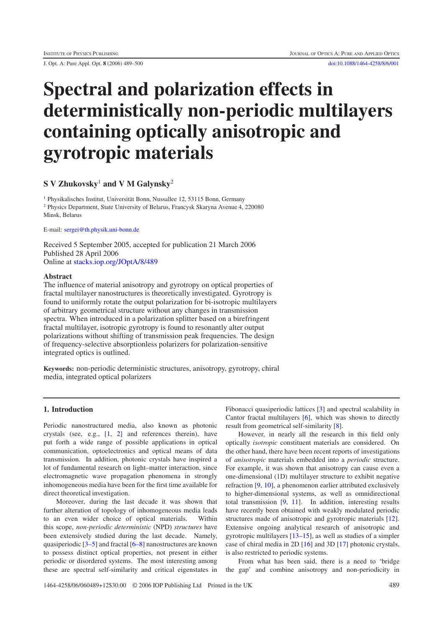J. Opt. A: Pure Appl. Opt. **8** (2006) 489–500 [doi:10.1088/1464-4258/8/6/001](http://dx.doi.org/10.1088/1464-4258/8/6/001)

# **Spectral and polarization effects in deterministically non-periodic multilayers containing optically anisotropic and gyrotropic materials**

## **SVZhukovsky**<sup>1</sup> **and V M Galynsky**<sup>2</sup>

<sup>1</sup> Physikalisches Institut, Universität Bonn, Nussallee 12, 53115 Bonn, Germany <sup>2</sup> Physics Department, State University of Belarus, Francysk Skaryna Avenue 4, 220080 Minsk, Belarus

E-mail: [sergei@th.physik.uni-bonn.de](mailto:sergei@th.physik.uni-bonn.de)

Received 5 September 2005, accepted for publication 21 March 2006 Published 28 April 2006 Online at [stacks.iop.org/JOptA/8/489](http://stacks.iop.org/JOptA/8/489)

#### **Abstract**

The influence of material anisotropy and gyrotropy on optical properties of fractal multilayer nanostructures is theoretically investigated. Gyrotropy is found to uniformly rotate the output polarization for bi-isotropic multilayers of arbitrary geometrical structure without any changes in transmission spectra. When introduced in a polarization splitter based on a birefringent fractal multilayer, isotropic gyrotropy is found to resonantly alter output polarizations without shifting of transmission peak frequencies. The design of frequency-selective absorptionless polarizers for polarization-sensitive integrated optics is outlined.

**Keywords:** non-periodic deterministic structures, anisotropy, gyrotropy, chiral media, integrated optical polarizers

#### **1. Introduction**

Periodic nanostructured media, also known as photonic crystals (see, e.g., [\[1,](#page-11-0) [2\]](#page-11-1) and references therein), have put forth a wide range of possible applications in optical communication, optoelectronics and optical means of data transmission. In addition, photonic crystals have inspired a lot of fundamental research on light–matter interaction, since electromagnetic wave propagation phenomena in strongly inhomogeneous media have been for the first time available for direct theoretical investigation.

Moreover, during the last decade it was shown that further alteration of topology of inhomogeneous media leads to an even wider choice of optical materials. Within this scope, *non-periodic deterministic* (NPD) *structures* have been extensively studied during the last decade. Namely, quasiperiodic [\[3–5\]](#page-11-2) and fractal [\[6–8\]](#page-11-3) nanostructures are known to possess distinct optical properties, not present in either periodic or disordered systems. The most interesting among these are spectral self-similarity and critical eigenstates in

Fibonacci quasiperiodic lattices [\[3\]](#page-11-2) and spectral scalability in Cantor fractal multilayers [\[6\]](#page-11-3), which was shown to directly result from geometrical self-similarity [\[8\]](#page-11-4).

However, in nearly all the research in this field only optically *isotropic* constituent materials are considered. On the other hand, there have been recent reports of investigations of *anisotropic* materials embedded into a *periodic* structure. For example, it was shown that anisotropy can cause even a one-dimensional (1D) multilayer structure to exhibit negative refraction [\[9,](#page-11-5) [10\]](#page-11-6), a phenomenon earlier attributed exclusively to higher-dimensional systems, as well as omnidirectional total transmission [\[9,](#page-11-5) [11\]](#page-11-7). In addition, interesting results have recently been obtained with weakly modulated periodic structures made of anisotropic and gyrotropic materials [\[12\]](#page-11-8). Extensive ongoing analytical research of anisotropic and gyrotropic multilayers [\[13–15\]](#page-11-9), as well as studies of a simpler case of chiral media in 2D [\[16\]](#page-11-10) and 3D [\[17\]](#page-11-11) photonic crystals, is also restricted to periodic systems.

From what has been said, there is a need to 'bridge the gap' and combine anisotropy and non-periodicity in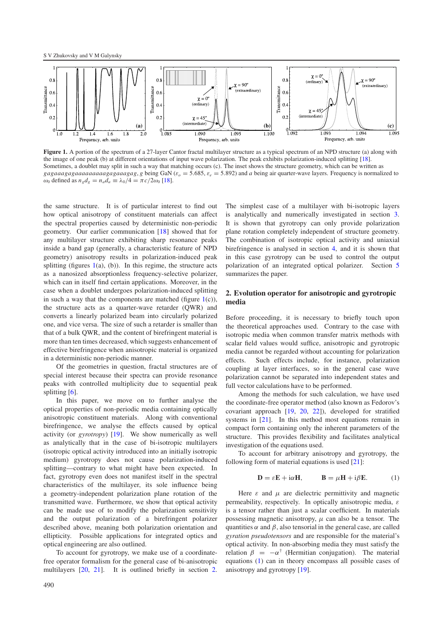<span id="page-1-0"></span>

Figure 1. A portion of the spectrum of a 27-layer Cantor fractal multilayer structure as a typical spectrum of an NPD structure (a) along with the image of one peak (b) at different orientations of input wave polarization. The peak exhibits polarization-induced splitting [\[18\]](#page-11-12). Sometimes, a doublet may split in such a way that matching occurs (c). The inset shows the structure geometry, which can be written as *gagaaagagaaaaaaaaagagaaagag*, *g* being GaN ( $\varepsilon_o = 5.685$ ,  $\varepsilon_e = 5.892$ ) and *a* being air quarter-wave layers. Frequency is normalized to  $ω_0$  defined as  $n_g d_g = n_a d_a \equiv \lambda_0/4 = \pi c/2ω_0$  [\[18\]](#page-11-12).

the same structure. It is of particular interest to find out how optical anisotropy of constituent materials can affect the spectral properties caused by deterministic non-periodic geometry. Our earlier communication [\[18\]](#page-11-12) showed that for any multilayer structure exhibiting sharp resonance peaks inside a band gap (generally, a characteristic feature of NPD geometry) anisotropy results in polarization-induced peak splitting (figures  $1(a)$  $1(a)$ , (b)). In this regime, the structure acts as a nanosized absorptionless frequency-selective polarizer, which can in itself find certain applications. Moreover, in the case when a doublet undergoes polarization-induced splitting in such a way that the components are matched (figure  $1(c)$  $1(c)$ ), the structure acts as a quarter-wave retarder (QWR) and converts a linearly polarized beam into circularly polarized one, and vice versa. The size of such a retarder is smaller than that of a bulk QWR, and the content of birefringent material is more than ten times decreased, which suggests enhancement of effective birefringence when anisotropic material is organized in a deterministic non-periodic manner.

Of the geometries in question, fractal structures are of special interest because their spectra can provide resonance peaks with controlled multiplicity due to sequential peak splitting  $[6]$ .

In this paper, we move on to further analyse the optical properties of non-periodic media containing optically anisotropic constituent materials. Along with conventional birefringence, we analyse the effects caused by optical activity (or *gyrotropy*) [\[19\]](#page-11-13). We show numerically as well as analytically that in the case of bi-isotropic multilayers (isotropic optical activity introduced into an initially isotropic medium) gyrotropy does not cause polarization-induced splitting—contrary to what might have been expected. In fact, gyrotropy even does not manifest itself in the spectral characteristics of the multilayer, its sole influence being a geometry-independent polarization plane rotation of the transmitted wave. Furthermore, we show that optical activity can be made use of to modify the polarization sensitivity and the output polarization of a birefringent polarizer described above, meaning both polarization orientation and ellipticity. Possible applications for integrated optics and optical engineering are also outlined.

To account for gyrotropy, we make use of a coordinatefree operator formalism for the general case of bi-anisotropic multilayers  $[20, 21]$  $[20, 21]$  $[20, 21]$ . It is outlined briefly in section [2.](#page-1-1)

The simplest case of a multilayer with bi-isotropic layers is analytically and numerically investigated in section [3.](#page-3-0) It is shown that gyrotropy can only provide polarization plane rotation completely independent of structure geometry. The combination of isotropic optical activity and uniaxial birefringence is analysed in section [4,](#page-5-0) and it is shown that in this case gyrotropy can be used to control the output polarization of an integrated optical polarizer. Section [5](#page-8-0) summarizes the paper.

### <span id="page-1-1"></span>**2. Evolution operator for anisotropic and gyrotropic media**

Before proceeding, it is necessary to briefly touch upon the theoretical approaches used. Contrary to the case with isotropic media when common transfer matrix methods with scalar field values would suffice, anisotropic and gyrotropic media cannot be regarded without accounting for polarization effects. Such effects include, for instance, polarization coupling at layer interfaces, so in the general case wave polarization cannot be separated into independent states and full vector calculations have to be performed.

Among the methods for such calculation, we have used the coordinate-free operator method (also known as Fedorov's covariant approach [\[19,](#page-11-13) [20,](#page-11-14) [22\]](#page-11-16)), developed for stratified systems in [\[21\]](#page-11-15). In this method most equations remain in compact form containing only the inherent parameters of the structure. This provides flexibility and facilitates analytical investigation of the equations used.

To account for arbitrary anisotropy and gyrotropy, the following form of material equations is used [\[21\]](#page-11-15):

<span id="page-1-2"></span>
$$
\mathbf{D} = \varepsilon \mathbf{E} + i\alpha \mathbf{H}, \qquad \mathbf{B} = \mu \mathbf{H} + i\beta \mathbf{E}.
$$
 (1)

Here  $\varepsilon$  and  $\mu$  are dielectric permittivity and magnetic permeability, respectively. In optically anisotropic media,  $\varepsilon$ is a tensor rather than just a scalar coefficient. In materials possessing magnetic anisotropy,  $\mu$  can also be a tensor. The quantities  $\alpha$  and  $\beta$ , also tensorial in the general case, are called *gyration pseudotensors* and are responsible for the material's optical activity. In non-absorbing media they must satisfy the relation  $\beta = -\alpha^{\dagger}$  (Hermitian conjugation). The material equations [\(1\)](#page-1-2) can in theory encompass all possible cases of anisotropy and gyrotropy [\[19\]](#page-11-13).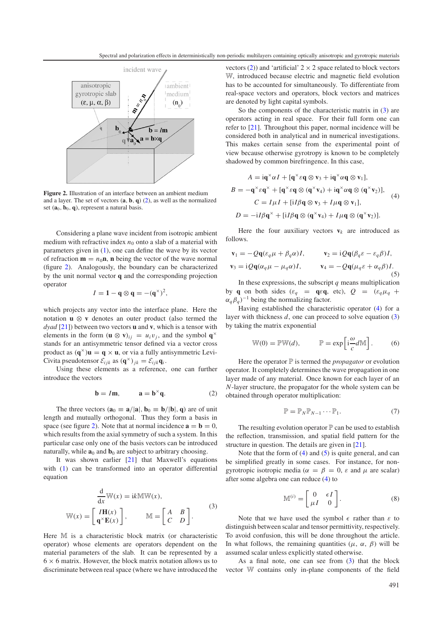<span id="page-2-1"></span>

**Figure 2.** Illustration of an interface between an ambient medium and a layer. The set of vectors (**a**, **b**, **q**) [\(2\)](#page-2-0), as well as the normalized set  $(a_0, b_0, q)$ , represent a natural basis.

Considering a plane wave incident from isotropic ambient medium with refractive index  $n_0$  onto a slab of a material with parameters given in [\(1\)](#page-1-2), one can define the wave by its vector of refraction  $\mathbf{m} = n_0 \mathbf{n}$ , **n** being the vector of the wave normal (figure [2\)](#page-2-1). Analogously, the boundary can be characterized by the unit normal vector **q** and the corresponding projection operator

<span id="page-2-0"></span>
$$
I = 1 - \mathbf{q} \otimes \mathbf{q} = -(\mathbf{q}^{\times})^2,
$$

which projects any vector into the interface plane. Here the notation **u** ⊗ **v** denotes an outer product (also termed the *dyad* [\[21\]](#page-11-15)) between two vectors **u** and **v**, which is a tensor with elements in the form  $(\mathbf{u} \otimes \mathbf{v})_{ij} = u_i v_j$ , and the symbol  $\mathbf{q}^{\times}$ stands for an antisymmetric tensor defined via a vector cross product as  $(\mathbf{q}^{\times})\mathbf{u} = \mathbf{q} \times \mathbf{u}$ , or via a fully antisymmetric Levi-Civita pseudotensor  $\mathcal{E}_{ijk}$  as  $(\mathbf{q}^{\times})_{jk} = \mathcal{E}_{ijk}\mathbf{q}_i$ .

Using these elements as a reference, one can further introduce the vectors

<span id="page-2-2"></span>
$$
\mathbf{b} = I\mathbf{m}, \qquad \mathbf{a} = \mathbf{b}^{\times} \mathbf{q}.
$$
 (2)

The three vectors  $(\mathbf{a}_0 \equiv \mathbf{a}/|\mathbf{a}|, \mathbf{b}_0 \equiv \mathbf{b}/|\mathbf{b}|, \mathbf{q})$  are of unit length and mutually orthogonal. Thus they form a basis in space (see figure [2\)](#page-2-1). Note that at normal incidence  $\mathbf{a} = \mathbf{b} = 0$ , which results from the axial symmetry of such a system. In this particular case only one of the basis vectors can be introduced naturally, while  $\mathbf{a}_0$  and  $\mathbf{b}_0$  are subject to arbitrary choosing.

It was shown earlier [\[21\]](#page-11-15) that Maxwell's equations with [\(1\)](#page-1-2) can be transformed into an operator differential equation

$$
\frac{d}{dx}W(x) = ikMW(x),
$$
  

$$
W(x) = \begin{bmatrix} IH(x) \\ q^{\times}E(x) \end{bmatrix}, \qquad M = \begin{bmatrix} A & B \\ C & D \end{bmatrix}.
$$
 (3)

Here M is a characteristic block matrix (or characteristic operator) whose elements are operators dependent on the material parameters of the slab. It can be represented by a  $6 \times 6$  matrix. However, the block matrix notation allows us to discriminate between real space (where we have introduced the

vectors [\(2\)](#page-2-0)) and 'artificial'  $2 \times 2$  space related to block vectors W, introduced because electric and magnetic field evolution has to be accounted for simultaneously. To differentiate from real-space vectors and operators, block vectors and matrices are denoted by light capital symbols.

So the components of the characteristic matrix in [\(3\)](#page-2-2) are operators acting in real space. For their full form one can refer to [\[21\]](#page-11-15). Throughout this paper, normal incidence will be considered both in analytical and in numerical investigations. This makes certain sense from the experimental point of view because otherwise gyrotropy is known to be completely shadowed by common birefringence. In this case,

<span id="page-2-4"></span><span id="page-2-3"></span>
$$
A = \mathbf{i} \mathbf{q}^{\times} \alpha I + [\mathbf{q}^{\times} \varepsilon \mathbf{q} \otimes \mathbf{v}_{3} + \mathbf{i} \mathbf{q}^{\times} \alpha \mathbf{q} \otimes \mathbf{v}_{1}],
$$
  
\n
$$
B = -\mathbf{q}^{\times} \varepsilon \mathbf{q}^{\times} + [\mathbf{q}^{\times} \varepsilon \mathbf{q} \otimes (\mathbf{q}^{\times} \mathbf{v}_{4}) + \mathbf{i} \mathbf{q}^{\times} \alpha \mathbf{q} \otimes (\mathbf{q}^{\times} \mathbf{v}_{2})],
$$
  
\n
$$
C = I \mu I + [\mathbf{i} I \beta \mathbf{q} \otimes \mathbf{v}_{3} + I \mu \mathbf{q} \otimes \mathbf{v}_{1}],
$$
  
\n
$$
D = -\mathbf{i} I \beta \mathbf{q}^{\times} + [\mathbf{i} I \beta \mathbf{q} \otimes (\mathbf{q}^{\times} \mathbf{v}_{4}) + I \mu \mathbf{q} \otimes (\mathbf{q}^{\times} \mathbf{v}_{2})].
$$
  
\n(4)

Here the four auxiliary vectors  $\mathbf{v}_k$  are introduced as follows.

$$
\mathbf{v}_1 = -Q\mathbf{q}(\varepsilon_q \mu + \beta_q \alpha)I, \qquad \mathbf{v}_2 = iQ\mathbf{q}(\beta_q \varepsilon - \varepsilon_q \beta)I, \n\mathbf{v}_3 = iQ\mathbf{q}(\alpha_q \mu - \mu_q \alpha)I, \qquad \mathbf{v}_4 = -Q\mathbf{q}(\mu_q \varepsilon + \alpha_q \beta)I.
$$
\n(5)

In these expressions, the subscript  $q$  means multiplication by **q** on both sides ( $\varepsilon_q$  = **q** $\varepsilon$ **q**, etc),  $Q$  = ( $\varepsilon_q \mu_q$  +  $\alpha_q \beta_q$ <sup> $-1$ </sup> being the normalizing factor.

Having established the characteristic operator [\(4\)](#page-2-3) for a layer with thickness *d*, one can proceed to solve equation [\(3\)](#page-2-2) by taking the matrix exponential

<span id="page-2-6"></span><span id="page-2-5"></span>
$$
\mathbb{W}(0) = \mathbb{P}\mathbb{W}(d), \qquad \mathbb{P} = \exp\left[i\frac{\omega}{c}d\mathbb{M}\right].
$$
 (6)

Here the operator  $\mathbb P$  is termed the *propagator* or evolution operator. It completely determines the wave propagation in one layer made of any material. Once known for each layer of an *N*-layer structure, the propagator for the whole system can be obtained through operator multiplication:

<span id="page-2-7"></span>
$$
\mathbb{P} = \mathbb{P}_N \mathbb{P}_{N-1} \cdots \mathbb{P}_1. \tag{7}
$$

The resulting evolution operator  $\mathbb P$  can be used to establish the reflection, transmission, and spatial field pattern for the structure in question. The details are given in [\[21\]](#page-11-15).

Note that the form of  $(4)$  and  $(5)$  is quite general, and can be simplified greatly in some cases. For instance, for nongyrotropic isotropic media ( $\alpha = \beta = 0$ ,  $\varepsilon$  and  $\mu$  are scalar) after some algebra one can reduce [\(4\)](#page-2-3) to

$$
\mathbb{M}^{(i)} = \begin{bmatrix} 0 & \epsilon I \\ \mu I & 0 \end{bmatrix}.
$$
 (8)

Note that we have used the symbol  $\epsilon$  rather than  $\varepsilon$  to distinguish between scalar and tensor permittivity, respectively. To avoid confusion, this will be done throughout the article. In what follows, the remaining quantities  $(\mu, \alpha, \beta)$  will be assumed scalar unless explicitly stated otherwise.

As a final note, one can see from  $(3)$  that the block vector W contains only in-plane components of the field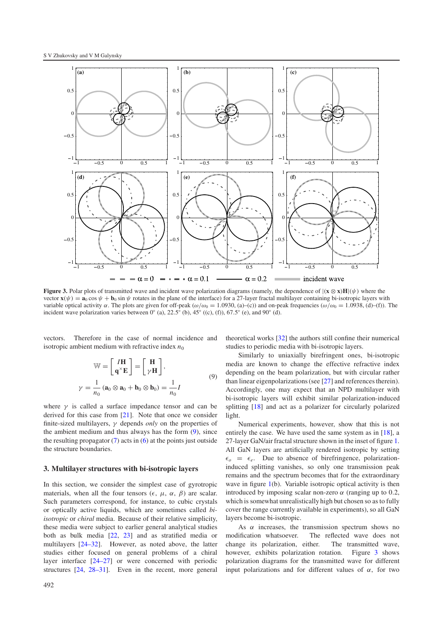<span id="page-3-2"></span>

**Figure 3.** Polar plots of transmitted wave and incident wave polarization diagrams (namely, the dependence of  $|(\mathbf{x} \otimes \mathbf{x})\mathbf{H}|(\psi)$ ) where the vector  $\mathbf{x}(\psi) = \mathbf{a}_0 \cos \psi + \mathbf{b}_0 \sin \psi$  rotates in the plane of the interface) for a 27-layer fractal multilayer containing bi-isotropic layers with variable optical activity  $\alpha$ . The plots are given for off-peak ( $\omega/\omega_0 = 1.0930$ , (a)–(c)) and on-peak frequencies ( $\omega/\omega_0 = 1.0938$ , (d)–(f)). The incident wave polarization varies between  $0°$  (a),  $22.5°$  (b),  $45°$  ((c), (f)),  $67.5°$  (e), and  $90°$  (d).

vectors. Therefore in the case of normal incidence and isotropic ambient medium with refractive index  $n_0$ 

<span id="page-3-1"></span>
$$
\mathbb{W} = \begin{bmatrix} I\mathbf{H} \\ \mathbf{q} \times \mathbf{E} \end{bmatrix} = \begin{bmatrix} \mathbf{H} \\ \gamma \mathbf{H} \end{bmatrix},
$$
  

$$
\gamma = \frac{1}{n_0} (\mathbf{a}_0 \otimes \mathbf{a}_0 + \mathbf{b}_0 \otimes \mathbf{b}_0) = \frac{1}{n_0} I
$$
 (9)

<span id="page-3-0"></span>where  $\gamma$  is called a surface impedance tensor and can be derived for this case from [\[21\]](#page-11-15). Note that once we consider finite-sized multilayers, γ depends *only* on the properties of the ambient medium and thus always has the form [\(9\)](#page-3-1), since the resulting propagator  $(7)$  acts in  $(6)$  at the points just outside the structure boundaries.

#### **3. Multilayer structures with bi-isotropic layers**

In this section, we consider the simplest case of gyrotropic materials, when all the four tensors  $(\epsilon, \mu, \alpha, \beta)$  are scalar. Such parameters correspond, for instance, to cubic crystals or optically active liquids, which are sometimes called *biisotropic* or *chiral* media. Because of their relative simplicity, these media were subject to earlier general analytical studies both as bulk media [\[22,](#page-11-16) [23\]](#page-11-17) and as stratified media or multilayers [\[24–32\]](#page-11-18). However, as noted above, the latter studies either focused on general problems of a chiral layer interface [\[24–27\]](#page-11-18) or were concerned with periodic structures [\[24,](#page-11-18) [28–31\]](#page-11-19). Even in the recent, more general theoretical works [\[32\]](#page-11-20) the authors still confine their numerical studies to periodic media with bi-isotropic layers.

Similarly to uniaxially birefringent ones, bi-isotropic media are known to change the effective refractive index depending on the beam polarization, but with circular rather than linear eigenpolarizations (see [\[27\]](#page-11-21) and references therein). Accordingly, one may expect that an NPD multilayer with bi-isotropic layers will exhibit similar polarization-induced splitting [\[18\]](#page-11-12) and act as a polarizer for circularly polarized light.

Numerical experiments, however, show that this is not entirely the case. We have used the same system as in [\[18\]](#page-11-12), a 27-layer GaN/air fractal structure shown in the inset of figure [1.](#page-1-0) All GaN layers are artificially rendered isotropic by setting  $\epsilon_o = \epsilon_e$ . Due to absence of birefringence, polarizationinduced splitting vanishes, so only one transmission peak remains and the spectrum becomes that for the extraordinary wave in figure [1\(](#page-1-0)b). Variable isotropic optical activity is then introduced by imposing scalar non-zero  $\alpha$  (ranging up to 0.2, which is somewhat unrealistically high but chosen so as to fully cover the range currently available in experiments), so all GaN layers become bi-isotropic.

As  $\alpha$  increases, the transmission spectrum shows no modification whatsoever. The reflected wave does not change its polarization, either. The transmitted wave, however, exhibits polarization rotation. Figure [3](#page-3-2) shows polarization diagrams for the transmitted wave for different input polarizations and for different values of  $\alpha$ , for two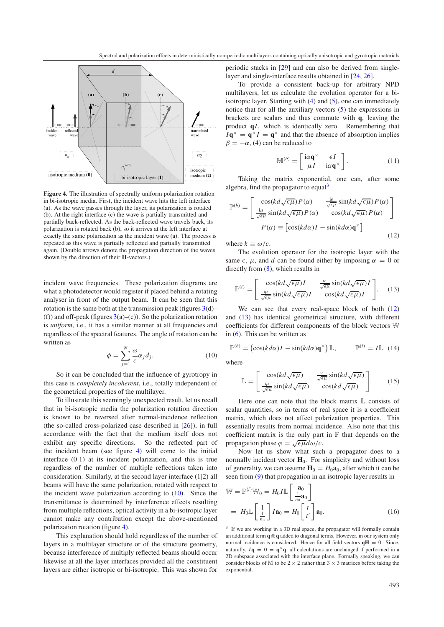<span id="page-4-0"></span>

**Figure 4.** The illustration of spectrally uniform polarization rotation in bi-isotropic media. First, the incident wave hits the left interface (a). As the wave passes through the layer, its polarization is rotated (b). At the right interface (c) the wave is partially transmitted and partially back-reflected. As the back-reflected wave travels back, its polarization is rotated back (b), so it arrives at the left interface at exactly the same polarization as the incident wave (a). The process is repeated as this wave is partially reflected and partially transmitted again. (Double arrows denote the propagation direction of the waves shown by the direction of their **H**-vectors.)

incident wave frequencies. These polarization diagrams are what a photodetector would register if placed behind a rotating analyser in front of the output beam. It can be seen that this rotation is the same both at the transmission peak (figures  $3(d)$  $3(d)$ – (f)) and off-peak (figures  $3(a)$  $3(a)$ –(c)). So the polarization rotation is *uniform*, i.e., it has a similar manner at all frequencies and regardless of the spectral features. The angle of rotation can be written as

<span id="page-4-1"></span>
$$
\phi = \sum_{j=1}^{N} \frac{\omega}{c} \alpha_j d_j.
$$
\n(10)

So it can be concluded that the influence of gyrotropy in this case is *completely incoherent*, i.e., totally independent of the geometrical properties of the multilayer.

To illustrate this seemingly unexpected result, let us recall that in bi-isotropic media the polarization rotation direction is known to be reversed after normal-incidence reflection (the so-called cross-polarized case described in [\[26\]](#page-11-22)), in full accordance with the fact that the medium itself does not exhibit any specific directions. So the reflected part of the incident beam (see figure [4\)](#page-4-0) will come to the initial interface (0|1) at its incident polarization, and this is true regardless of the number of multiple reflections taken into consideration. Similarly, at the second layer interface (1|2) all beams will have the same polarization, rotated with respect to the incident wave polarization according to [\(10\)](#page-4-1). Since the transmittance is determined by interference effects resulting from multiple reflections, optical activity in a bi-isotropic layer cannot make any contribution except the above-mentioned polarization rotation (figure [4\)](#page-4-0).

This explanation should hold regardless of the number of layers in a multilayer structure or of the structure geometry, because interference of multiply reflected beams should occur likewise at all the layer interfaces provided all the constituent layers are either isotropic or bi-isotropic. This was shown for

periodic stacks in [\[29\]](#page-11-23) and can also be derived from singlelayer and single-interface results obtained in [\[24,](#page-11-18) [26\]](#page-11-22).

To provide a consistent back-up for arbitrary NPD multilayers, let us calculate the evolution operator for a biisotropic layer. Starting with [\(4\)](#page-2-3) and [\(5\)](#page-2-4), one can immediately notice that for all the auxiliary vectors [\(5\)](#page-2-4) the expressions in brackets are scalars and thus commute with **q**, leaving the product **q***I*, which is identically zero. Remembering that  $I\mathbf{q}^{\times} = \mathbf{q}^{\times} I = \mathbf{q}^{\times}$  and that the absence of absorption implies  $\beta = -\alpha$ , [\(4\)](#page-2-3) can be reduced to

<span id="page-4-4"></span><span id="page-4-3"></span>
$$
\mathbb{M}^{(b)} = \begin{bmatrix} i\alpha \mathbf{q}^{\times} & \epsilon I \\ \mu I & i\alpha \mathbf{q}^{\times} \end{bmatrix} . \tag{11}
$$

Taking the matrix exponential, one can, after some algebra, find the propagator to equal<sup>[3](#page-4-2)</sup>

$$
\mathbb{P}^{(b)} = \begin{bmatrix} \cos(kd\sqrt{\epsilon\mu})P(\alpha) & \frac{\mathrm{i}\epsilon}{\sqrt{\epsilon\mu}}\sin(kd\sqrt{\epsilon\mu})P(\alpha) \\ \frac{\mathrm{i}\mu}{\sqrt{\epsilon\mu}}\sin(kd\sqrt{\epsilon\mu})P(\alpha) & \cos(kd\sqrt{\epsilon\mu})P(\alpha) \end{bmatrix}
$$

$$
P(\alpha) \equiv \begin{bmatrix} \cos(kd\alpha)I - \sin(kd\alpha)q^{\times} \end{bmatrix}
$$
(12)

where  $k \equiv \omega/c$ .

The evolution operator for the isotropic layer with the same  $\epsilon$ ,  $\mu$ , and *d* can be found either by imposing  $\alpha = 0$  or directly from [\(8\)](#page-2-7), which results in

<span id="page-4-5"></span>
$$
\mathbb{P}^{(i)} = \begin{bmatrix} \cos(kd\sqrt{\epsilon\mu})I & \frac{\mathrm{i}\epsilon}{\sqrt{\epsilon\mu}}\sin(kd\sqrt{\epsilon\mu})I\\ \frac{\mathrm{i}\mu}{\sqrt{\epsilon\mu}}\sin(kd\sqrt{\epsilon\mu})I & \cos(kd\sqrt{\epsilon\mu})I \end{bmatrix}.
$$
 (13)

We can see that every real-space block of both  $(12)$ and [\(13\)](#page-4-4) has identical geometrical structure, with different coefficients for different components of the block vectors W in [\(6\)](#page-2-6). This can be written as

$$
\mathbb{P}^{(b)} = (\cos(kd\alpha)I - \sin(kd\alpha)\mathbf{q}^{\times})\,\mathbb{L}, \qquad \mathbb{P}^{(i)} = I\mathbb{L} \tag{14}
$$

where

<span id="page-4-6"></span>
$$
\mathbb{L} = \begin{bmatrix} \cos(kd\sqrt{\epsilon\mu}) & \frac{\mathrm{i}\epsilon}{\sqrt{\epsilon\mu}}\sin(kd\sqrt{\epsilon\mu})\\ \frac{\mathrm{i}\mu}{\sqrt{\epsilon\mu}}\sin(kd\sqrt{\epsilon\mu}) & \cos(kd\sqrt{\epsilon\mu}) \end{bmatrix}.
$$
 (15)

Here one can note that the block matrix L consists of scalar quantities, so in terms of real space it is a coefficient matrix, which does not affect polarization properties. This essentially results from normal incidence. Also note that this coefficient matrix is the only part in  $\mathbb P$  that depends on the propagation phase  $\varphi = \sqrt{\epsilon \mu} d\omega/c$ .

Now let us show what such a propagator does to a normally incident vector  $H_0$ . For simplicity and without loss of generality, we can assume  $H_0 = H_0 a_0$ , after which it can be seen from [\(9\)](#page-3-1) that propagation in an isotropic layer results in

<span id="page-4-2"></span>
$$
\mathbb{W} = \mathbb{P}^{(i)} \mathbb{W}_0 = H_0 I \mathbb{L} \left[ \begin{array}{c} \mathbf{a}_0 \\ \frac{1}{n_0} \mathbf{a}_0 \end{array} \right]
$$
  
=  $H_0 \mathbb{L} \left[ \begin{array}{c} 1 \\ \frac{1}{n_0} \end{array} \right] I \mathbf{a}_0 = H_0 \left[ \begin{array}{c} t \\ t' \end{array} \right] \mathbf{a}_0.$  (16)

<sup>3</sup> If we are working in a 3D real space, the propagator will formally contain an additional term **q**⊗**q** added to diagonal terms. However, in our system only normal incidence is considered. Hence for all field vectors  $qH = 0$ . Since, naturally,  $I\mathbf{q} = 0 = \mathbf{q}^{\times}\mathbf{q}$ , all calculations are unchanged if performed in a 2D subspace associated with the interface plane. Formally speaking, we can consider blocks of M to be  $2 \times 2$  rather than  $3 \times 3$  matrices before taking the exponential.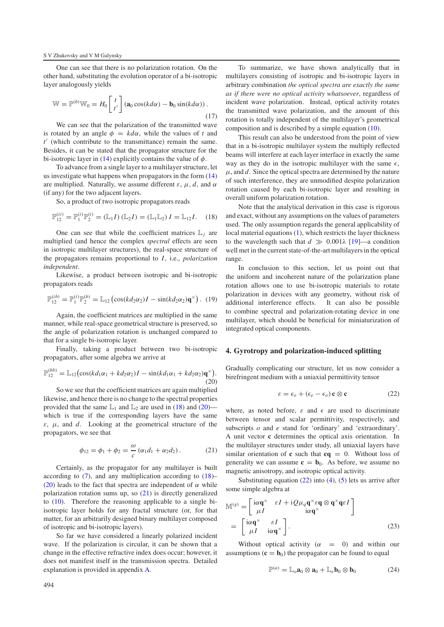One can see that there is no polarization rotation. On the other hand, substituting the evolution operator of a bi-isotropic layer analogously yields

$$
\mathbb{W} = \mathbb{P}^{(b)}\mathbb{W}_0 = H_0 \begin{bmatrix} t \\ t' \end{bmatrix} (\mathbf{a}_0 \cos(kd\alpha) - \mathbf{b}_0 \sin(kd\alpha)) \tag{17}
$$

We can see that the polarization of the transmitted wave is rotated by an angle  $\phi = kd\alpha$ , while the values of *t* and *t* (which contribute to the transmittance) remain the same. Besides, it can be stated that the propagator structure for the bi-isotropic layer in [\(14\)](#page-4-5) explicitly contains the value of  $\phi$ .

To advance from a single layer to a multilayer structure, let us investigate what happens when propagators in the form [\(14\)](#page-4-5) are multiplied. Naturally, we assume different  $\varepsilon$ ,  $\mu$ ,  $d$ , and  $\alpha$ (if any) for the two adjacent layers.

So, a product of two isotropic propagators reads

$$
\mathbb{P}_{12}^{(ii)} = \mathbb{P}_1^{(i)} \mathbb{P}_2^{(i)} = (\mathbb{L}_1 I) (\mathbb{L}_2 I) = (\mathbb{L}_1 \mathbb{L}_2) I = \mathbb{L}_{12} I.
$$
 (18)

One can see that while the coefficient matrices  $\mathbb{L}_i$  are multiplied (and hence the complex *spectral* effects are seen in isotropic multilayer structures), the real-space structure of the propagators remains proportional to *I*, i.e., *polarization independent*.

Likewise, a product between isotropic and bi-isotropic propagators reads

$$
\mathbb{P}_{12}^{(ib)} = \mathbb{P}_1^{(i)} \mathbb{P}_2^{(b)} = \mathbb{L}_{12} \left( \cos(kd_2 \alpha_2) I - \sin(kd_2 \alpha_2) \mathbf{q}^{\times} \right). (19)
$$

Again, the coefficient matrices are multiplied in the same manner, while real-space geometrical structure is preserved, so the angle of polarization rotation is unchanged compared to that for a single bi-isotropic layer.

Finally, taking a product between two bi-isotropic propagators, after some algebra we arrive at

$$
\mathbb{P}_{12}^{(bb)} = \mathbb{L}_{12} \big( \cos(kd_1\alpha_1 + kd_2\alpha_2)I - \sin(kd_1\alpha_1 + kd_2\alpha_2)q^{\times} \big). \tag{20}
$$

So we see that the coefficient matrices are again multiplied likewise, and hence there is no change to the spectral properties provided that the same  $\mathbb{L}_1$  and  $\mathbb{L}_2$  are used in [\(18\)](#page-5-1) and [\(20\)](#page-5-2) which is true if the corresponding layers have the same  $\varepsilon$ ,  $\mu$ , and *d*. Looking at the geometrical structure of the propagators, we see that

<span id="page-5-3"></span>
$$
\phi_{12} = \phi_1 + \phi_2 = \frac{\omega}{c} (\alpha_1 d_1 + \alpha_2 d_2).
$$
 (21)

Certainly, as the propagator for any multilayer is built according to  $(7)$ , and any multiplication according to  $(18)$ – [\(20\)](#page-5-2) leads to the fact that spectra are independent of  $\alpha$  while polarization rotation sums up, so [\(21\)](#page-5-3) is directly generalized to [\(10\)](#page-4-1). Therefore the reasoning applicable to a single biisotropic layer holds for any fractal structure (or, for that matter, for an arbitrarily designed binary multilayer composed of isotropic and bi-isotropic layers).

So far we have considered a linearly polarized incident wave. If the polarization is circular, it can be shown that a change in the effective refractive index does occur; however, it does not manifest itself in the transmission spectra. Detailed explanation is provided in appendix [A.](#page-9-0)

<span id="page-5-6"></span>To summarize, we have shown analytically that in multilayers consisting of isotropic and bi-isotropic layers in arbitrary combination *the optical spectra are exactly the same as if there were no optical activity whatsoever*, regardless of incident wave polarization. Instead, optical activity rotates the transmitted wave polarization, and the amount of this rotation is totally independent of the multilayer's geometrical composition and is described by a simple equation [\(10\)](#page-4-1).

<span id="page-5-1"></span>This result can also be understood from the point of view that in a bi-isotropic multilayer system the multiply reflected beams will interfere at each layer interface in exactly the same way as they do in the isotropic multilayer with the same  $\epsilon$ ,  $\mu$ , and  $d$ . Since the optical spectra are determined by the nature of such interference, they are unmodified despite polarization rotation caused by each bi-isotropic layer and resulting in overall uniform polarization rotation.

Note that the analytical derivation in this case is rigorous and exact, without any assumptions on the values of parameters used. The only assumption regards the general applicability of local material equations [\(1\)](#page-1-2), which restricts the layer thickness to the wavelength such that  $d \gg 0.001\lambda$  [\[19\]](#page-11-13)—a condition well met in the current state-of-the-art multilayers in the optical range.

<span id="page-5-0"></span>In conclusion to this section, let us point out that the uniform and incoherent nature of the polarization plane rotation allows one to use bi-isotropic materials to rotate polarization in devices with any geometry, without risk of additional interference effects. It can also be possible to combine spectral and polarization-rotating device in one multilayer, which should be beneficial for miniaturization of integrated optical components.

#### <span id="page-5-2"></span>**4. Gyrotropy and polarization-induced splitting**

Gradually complicating our structure, let us now consider a birefringent medium with a uniaxial permittivity tensor

<span id="page-5-4"></span>
$$
\varepsilon = \epsilon_o + (\epsilon_e - \epsilon_o) \mathbf{c} \otimes \mathbf{c}
$$
 (22)

where, as noted before,  $\varepsilon$  and  $\epsilon$  are used to discriminate between tensor and scalar permittivity, respectively, and subscripts *o* and *e* stand for 'ordinary' and 'extraordinary'. A unit vector **c** determines the optical axis orientation. In the multilayer structures under study, all uniaxial layers have similar orientation of **c** such that **cq** = 0. Without loss of generality we can assume  $c = b_0$ . As before, we assume no magnetic anisotropy, and isotropic optical activity.

<span id="page-5-7"></span>Substituting equation  $(22)$  into  $(4)$ ,  $(5)$  lets us arrive after some simple algebra at

$$
\mathbb{M}^{(g)} = \begin{bmatrix} i\alpha \mathbf{q}^{\times} & \varepsilon I + iQ\mu_q \mathbf{q}^{\times} \varepsilon \mathbf{q} \otimes \mathbf{q}^{\times} \mathbf{q} \varepsilon I \\ \mu I & i\alpha \mathbf{q}^{\times} \end{bmatrix}
$$

$$
= \begin{bmatrix} i\alpha \mathbf{q}^{\times} & \varepsilon I \\ \mu I & i\alpha \mathbf{q}^{\times} \end{bmatrix}.
$$
 (23)

Without optical activity  $(\alpha = 0)$  and within our assumptions  $(c = b_0)$  the propagator can be found to equal

<span id="page-5-5"></span>
$$
\mathbb{P}^{(a)} = \mathbb{L}_o \mathbf{a}_0 \otimes \mathbf{a}_0 + \mathbb{L}_e \mathbf{b}_0 \otimes \mathbf{b}_0 \tag{24}
$$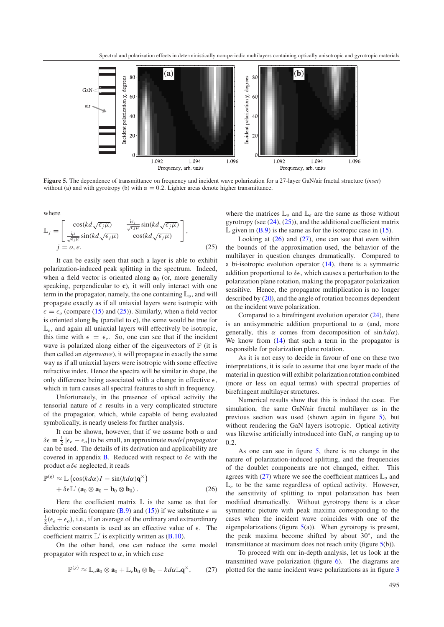<span id="page-6-3"></span>

<span id="page-6-0"></span>**Figure 5.** The dependence of transmittance on frequency and incident wave polarization for a 27-layer GaN/air fractal structure (*inset*) without (a) and with gyrotropy (b) with  $\alpha = 0.2$ . Lighter areas denote higher transmittance.

where

$$
\mathbb{L}_{j} = \begin{bmatrix} \cos(kd\sqrt{\epsilon_{j}\mu}) & \frac{\mathrm{i}\epsilon_{j}}{\sqrt{\epsilon_{j}\mu}}\sin(kd\sqrt{\epsilon_{j}\mu})\\ \frac{\mathrm{i}\mu}{\sqrt{\epsilon_{j}\mu}}\sin(kd\sqrt{\epsilon_{j}\mu}) & \cos(kd\sqrt{\epsilon_{j}\mu}) \end{bmatrix},
$$
  
\n $j = o, e.$  (25)

It can be easily seen that such a layer is able to exhibit polarization-induced peak splitting in the spectrum. Indeed, when a field vector is oriented along  $\mathbf{a}_0$  (or, more generally speaking, perpendicular to **c**), it will only interact with one term in the propagator, namely, the one containing L*o*, and will propagate exactly as if all uniaxial layers were isotropic with  $\epsilon = \epsilon_o$  (compare [\(15\)](#page-4-6) and [\(25\)](#page-6-0)). Similarly, when a field vector is oriented along  $\mathbf{b}_0$  (parallel to **c**), the same would be true for  $\mathbb{L}_{e}$ , and again all uniaxial layers will effectively be isotropic, this time with  $\epsilon = \epsilon_e$ . So, one can see that if the incident wave is polarized along either of the eigenvectors of  $\mathbb P$  (it is then called an *eigenwave*), it will propagate in exactly the same way as if all uniaxial layers were isotropic with some effective refractive index. Hence the spectra will be similar in shape, the only difference being associated with a change in effective  $\epsilon$ , which in turn causes all spectral features to shift in frequency.

Unfortunately, in the presence of optical activity the tensorial nature of  $\varepsilon$  results in a very complicated structure of the propagator, which, while capable of being evaluated symbolically, is nearly useless for further analysis.

<span id="page-6-1"></span>It can be shown, however, that if we assume both  $\alpha$  and  $\delta \epsilon \equiv \frac{1}{2} |\epsilon_e - \epsilon_o|$  to be small, an approximate *model propagator* can be used. The details of its derivation and applicability are covered in appendix **B**. Reduced with respect to  $\delta \epsilon$  with the product  $\alpha \delta \epsilon$  neglected, it reads

$$
\mathbb{P}^{(g)} \approx \mathbb{L}\left(\cos(kd\alpha)I - \sin(kd\alpha)\mathbf{q}^{\times}\right) + \delta\epsilon\mathbb{L}'\left(\mathbf{a}_0 \otimes \mathbf{a}_0 - \mathbf{b}_0 \otimes \mathbf{b}_0\right).
$$
 (26)

Here the coefficient matrix  $\mathbb L$  is the same as that for isotropic media (compare [\(B.9\)](#page-10-1) and [\(15\)](#page-4-6)) if we substitute  $\epsilon \equiv$  $\frac{1}{2}(\epsilon_e + \epsilon_o)$ , i.e., if an average of the ordinary and extraordinary dielectric constants is used as an effective value of  $\epsilon$ . The coefficient matrix  $\mathbb{L}'$  is explicitly written as [\(B.10\)](#page-10-2).

On the other hand, one can reduce the same model propagator with respect to  $\alpha$ , in which case

<span id="page-6-2"></span>
$$
\mathbb{P}^{(g)} \approx \mathbb{L}_o \mathbf{a}_0 \otimes \mathbf{a}_0 + \mathbb{L}_e \mathbf{b}_0 \otimes \mathbf{b}_0 - k d \alpha \mathbb{L} \mathbf{q}^\times, \qquad (27)
$$

where the matrices  $\mathbb{L}_{\rho}$  and  $\mathbb{L}_{e}$  are the same as those without gyrotropy (see [\(24\)](#page-5-5), [\(25\)](#page-6-0)), and the additional coefficient matrix  $\mathbb L$  given in [\(B.9\)](#page-10-1) is the same as for the isotropic case in [\(15\)](#page-4-6).

Looking at  $(26)$  and  $(27)$ , one can see that even within the bounds of the approximation used, the behavior of the multilayer in question changes dramatically. Compared to a bi-isotropic evolution operator  $(14)$ , there is a symmetric addition proportional to  $\delta \epsilon$ , which causes a perturbation to the polarization plane rotation, making the propagator polarization sensitive. Hence, the propagator multiplication is no longer described by [\(20\)](#page-5-2), and the angle of rotation becomes dependent on the incident wave polarization.

Compared to a birefringent evolution operator  $(24)$ , there is an antisymmetric addition proportional to  $\alpha$  (and, more generally, this α comes from decomposition of sin *kd*α). We know from  $(14)$  that such a term in the propagator is responsible for polarization plane rotation.

As it is not easy to decide in favour of one on these two interpretations, it is safe to assume that one layer made of the material in question will exhibit polarization rotation combined (more or less on equal terms) with spectral properties of birefringent multilayer structures.

Numerical results show that this is indeed the case. For simulation, the same GaN/air fractal multilayer as in the previous section was used (shown again in figure [5\)](#page-6-3), but without rendering the GaN layers isotropic. Optical activity was likewise artificially introduced into GaN,  $\alpha$  ranging up to 0.2.

As one can see in figure [5,](#page-6-3) there is no change in the nature of polarization-induced splitting, and the frequencies of the doublet components are not changed, either. This agrees with  $(27)$  where we see the coefficient matrices  $\mathbb{L}<sub>o</sub>$  and  $\mathbb{L}_{e}$  to be the same regardless of optical activity. However, the sensitivity of splitting to input polarization has been modified dramatically. Without gyrotropy there is a clear symmetric picture with peak maxima corresponding to the cases when the incident wave coincides with one of the eigenpolarizations (figure  $5(a)$  $5(a)$ ). When gyrotropy is present, the peak maxima become shifted by about 30◦, and the transmittance at maximum does not reach unity (figure [5\(](#page-6-3)b)).

To proceed with our in-depth analysis, let us look at the transmitted wave polarization (figure [6\)](#page-7-0). The diagrams are plotted for the same incident wave polarizations as in figure [3](#page-3-2)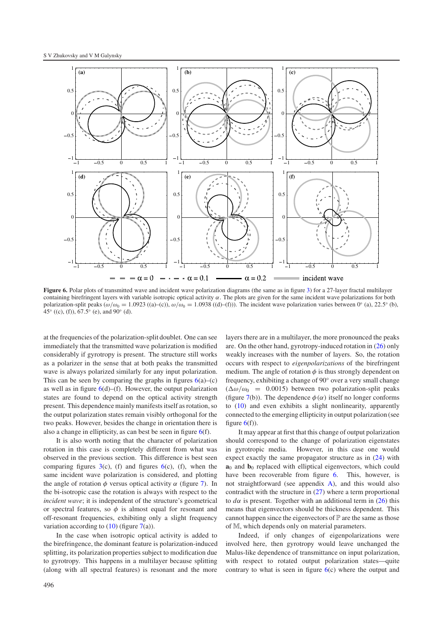<span id="page-7-0"></span>

**Figure 6.** Polar plots of transmitted wave and incident wave polarization diagrams (the same as in figure [3\)](#page-3-2) for a 27-layer fractal multilayer containing birefringent layers with variable isotropic optical activity  $\alpha$ . The plots are given for the same incident wave polarizations for both polarization-split peaks ( $\omega/\omega_0 = 1.0923$  ((a)–(c)),  $\omega/\omega_0 = 1.0938$  ((d)–(f))). The incident wave polarization varies between 0° (a), 22.5° (b), 45° ((c), (f)),  $67.5^{\circ}$  (e), and  $90^{\circ}$  (d).

at the frequencies of the polarization-split doublet. One can see immediately that the transmitted wave polarization is modified considerably if gyrotropy is present. The structure still works as a polarizer in the sense that at both peaks the transmitted wave is always polarized similarly for any input polarization. This can be seen by comparing the graphs in figures  $6(a)$  $6(a)$ –(c) as well as in figure  $6(d)$  $6(d)$ –(f). However, the output polarization states are found to depend on the optical activity strength present. This dependence mainly manifests itself as rotation, so the output polarization states remain visibly orthogonal for the two peaks. However, besides the change in orientation there is also a change in ellipticity, as can best be seen in figure  $6(f)$  $6(f)$ .

It is also worth noting that the character of polarization rotation in this case is completely different from what was observed in the previous section. This difference is best seen comparing figures  $3(c)$  $3(c)$ , (f) and figures  $6(c)$  $6(c)$ , (f), when the same incident wave polarization is considered, and plotting the angle of rotation  $\phi$  versus optical activity  $\alpha$  (figure [7\)](#page-8-1). In the bi-isotropic case the rotation is always with respect to the *incident wave*; it is independent of the structure's geometrical or spectral features, so  $\phi$  is almost equal for resonant and off-resonant frequencies, exhibiting only a slight frequency variation according to  $(10)$  (figure [7\(](#page-8-1)a)).

In the case when isotropic optical activity is added to the birefringence, the dominant feature is polarization-induced splitting, its polarization properties subject to modification due to gyrotropy. This happens in a multilayer because splitting (along with all spectral features) is resonant and the more

layers there are in a multilayer, the more pronounced the peaks are. On the other hand, gyrotropy-induced rotation in [\(26\)](#page-6-1) only weakly increases with the number of layers. So, the rotation occurs with respect to *eigenpolarizations* of the birefringent medium. The angle of rotation  $\phi$  is thus strongly dependent on frequency, exhibiting a change of 90◦ over a very small change  $(\Delta\omega/\omega_0$  = 0.0015) between two polarization-split peaks (figure [7\(](#page-8-1)b)). The dependence  $\phi(\alpha)$  itself no longer conforms to [\(10\)](#page-4-1) and even exhibits a slight nonlinearity, apparently connected to the emerging ellipticity in output polarization (see figure  $6(f)$  $6(f)$ ).

It may appear at first that this change of output polarization should correspond to the change of polarization eigenstates in gyrotropic media. However, in this case one would expect exactly the same propagator structure as in [\(24\)](#page-5-5) with **a**<sub>0</sub> and **b**<sub>0</sub> replaced with elliptical eigenvectors, which could have been recoverable from figure [6.](#page-7-0) This, however, is not straightforward (see appendix [A\)](#page-9-0), and this would also contradict with the structure in [\(27\)](#page-6-2) where a term proportional to  $d\alpha$  is present. Together with an additional term in [\(26\)](#page-6-1) this means that eigenvectors should be thickness dependent. This cannot happen since the eigenvectors of  $\mathbb P$  are the same as those of M, which depends only on material parameters.

Indeed, if only changes of eigenpolarizations were involved here, then gyrotropy would leave unchanged the Malus-like dependence of transmittance on input polarization, with respect to rotated output polarization states—quite contrary to what is seen in figure  $6(c)$  $6(c)$  where the output and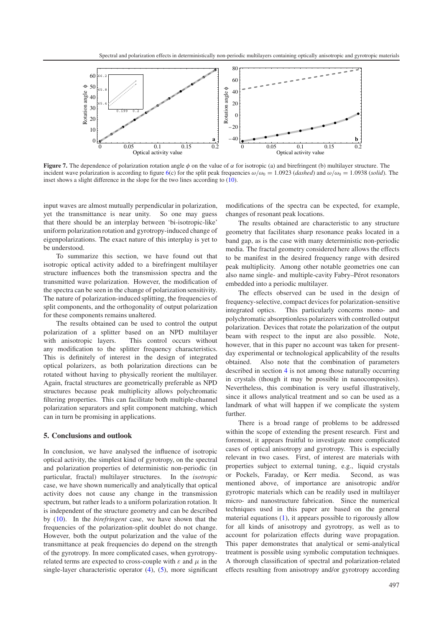<span id="page-8-1"></span>

**Figure 7.** The dependence of polarization rotation angle  $\phi$  on the value of  $\alpha$  for isotropic (a) and birefringent (b) multilayer structure. The incident wave polarization is according to figure [6\(](#page-7-0)c) for the split peak frequencies  $\omega/\omega_0 = 1.0923$  (*dashed*) and  $\omega/\omega_0 = 1.0938$  (*solid*). The inset shows a slight difference in the slope for the two lines according to [\(10\)](#page-4-1).

input waves are almost mutually perpendicular in polarization, yet the transmittance is near unity. So one may guess that there should be an interplay between 'bi-isotropic-like' uniform polarization rotation and gyrotropy-induced change of eigenpolarizations. The exact nature of this interplay is yet to be understood.

To summarize this section, we have found out that isotropic optical activity added to a birefringent multilayer structure influences both the transmission spectra and the transmitted wave polarization. However, the modification of the spectra can be seen in the change of polarization sensitivity. The nature of polarization-induced splitting, the frequencies of split components, and the orthogonality of output polarization for these components remains unaltered.

The results obtained can be used to control the output polarization of a splitter based on an NPD multilayer with anisotropic layers. This control occurs without any modification to the splitter frequency characteristics. This is definitely of interest in the design of integrated optical polarizers, as both polarization directions can be rotated without having to physically reorient the multilayer. Again, fractal structures are geometrically preferable as NPD structures because peak multiplicity allows polychromatic filtering properties. This can facilitate both multiple-channel polarization separators and split component matching, which can in turn be promising in applications.

#### <span id="page-8-0"></span>**5. Conclusions and outlook**

In conclusion, we have analysed the influence of isotropic optical activity, the simplest kind of gyrotropy, on the spectral and polarization properties of deterministic non-periodic (in particular, fractal) multilayer structures. In the *isotropic* case, we have shown numerically and analytically that optical activity does not cause any change in the transmission spectrum, but rather leads to a uniform polarization rotation. It is independent of the structure geometry and can be described by [\(10\)](#page-4-1). In the *birefringent* case, we have shown that the frequencies of the polarization-split doublet do not change. However, both the output polarization and the value of the transmittance at peak frequencies do depend on the strength of the gyrotropy. In more complicated cases, when gyrotropyrelated terms are expected to cross-couple with  $\varepsilon$  and  $\mu$  in the single-layer characteristic operator [\(4\)](#page-2-3), [\(5\)](#page-2-4), more significant

modifications of the spectra can be expected, for example, changes of resonant peak locations.

The results obtained are characteristic to any structure geometry that facilitates sharp resonance peaks located in a band gap, as is the case with many deterministic non-periodic media. The fractal geometry considered here allows the effects to be manifest in the desired frequency range with desired peak multiplicity. Among other notable geometries one can also name single- and multiple-cavity Fabry–Pérot resonators embedded into a periodic multilayer.

The effects observed can be used in the design of frequency-selective, compact devices for polarization-sensitive integrated optics. This particularly concerns mono- and polychromatic absorptionless polarizers with controlled output polarization. Devices that rotate the polarization of the output beam with respect to the input are also possible. Note, however, that in this paper no account was taken for presentday experimental or technological applicability of the results obtained. Also note that the combination of parameters described in section [4](#page-5-0) is not among those naturally occurring in crystals (though it may be possible in nanocomposites). Nevertheless, this combination is very useful illustratively, since it allows analytical treatment and so can be used as a landmark of what will happen if we complicate the system further.

There is a broad range of problems to be addressed within the scope of extending the present research. First and foremost, it appears fruitful to investigate more complicated cases of optical anisotropy and gyrotropy. This is especially relevant in two cases. First, of interest are materials with properties subject to external tuning, e.g., liquid crystals or Pockels, Faraday, or Kerr media. Second, as was mentioned above, of importance are anisotropic and/or gyrotropic materials which can be readily used in multilayer micro- and nanostructure fabrication. Since the numerical techniques used in this paper are based on the general material equations [\(1\)](#page-1-2), it appears possible to rigorously allow for all kinds of anisotropy and gyrotropy, as well as to account for polarization effects during wave propagation. This paper demonstrates that analytical or semi-analytical treatment is possible using symbolic computation techniques. A thorough classification of spectral and polarization-related effects resulting from anisotropy and/or gyrotropy according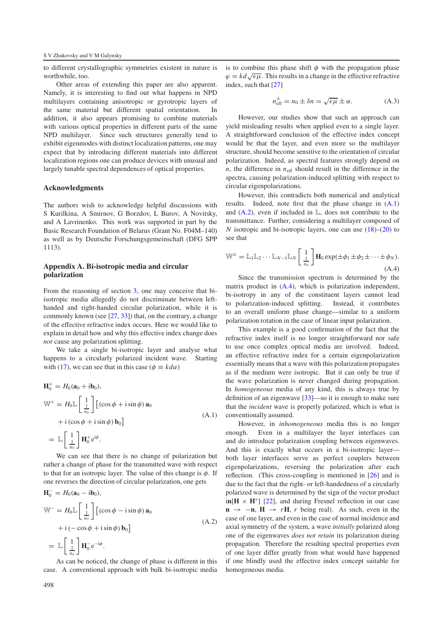to different crystallographic symmetries existent in nature is worthwhile, too.

Other areas of extending this paper are also apparent. Namely, it is interesting to find out what happens in NPD multilayers containing anisotropic or gyrotropic layers of the same material but different spatial orientation. In addition, it also appears promising to combine materials with various optical properties in different parts of the same NPD multilayer. Since such structures generally tend to exhibit eigenmodes with distinct localization patterns, one may expect that by introducing different materials into different localization regions one can produce devices with unusual and largely tunable spectral dependences of optical properties.

#### **Acknowledgments**

<span id="page-9-0"></span>The authors wish to acknowledge helpful discussions with S Kurilkina, A Smirnov, G Borzdov, L Burov, A Novitsky, and A Lavrinenko. This work was supported in part by the Basic Research Foundation of Belarus (Grant No. F04M–140) as well as by Deutsche Forschungsgemeinschaft (DFG SPP 1113).

#### **Appendix A. Bi-isotropic media and circular polarization**

From the reasoning of section [3,](#page-3-0) one may conceive that biisotropic media allegedly do not discriminate between lefthanded and right-handed circular polarization, while it is commonly known (see [\[27,](#page-11-21) [33\]](#page-11-24)) that, on the contrary, a change of the effective refractive index occurs. Here we would like to explain in detail how and why this effective index change does *not* cause any polarization splitting.

<span id="page-9-1"></span>We take a single bi-isotropic layer and analyse what happens to a circularly polarized incident wave. Starting with [\(17\)](#page-5-6), we can see that in this case ( $\phi \equiv k d\alpha$ )

$$
\mathbf{H}_0^+ = H_0(\mathbf{a}_0 + i\mathbf{b}_0),
$$
  
\n
$$
\mathbb{W}^+ = H_0 \mathbb{L} \left[ \frac{1}{\frac{1}{n_0}} \right] \left[ (\cos \phi + i \sin \phi) \mathbf{a}_0 \right]
$$
  
\n
$$
+ i (\cos \phi + i \sin \phi) \mathbf{b}_0 \right]
$$
  
\n
$$
= \mathbb{L} \left[ \frac{1}{\frac{1}{n_0}} \right] \mathbf{H}_0^+ e^{i\phi}.
$$
  
\n
$$
\mathbb{W} \left[ \frac{1}{n_0} \right] \mathbf{H}_0^+ e^{i\phi}.
$$

<span id="page-9-2"></span>We can see that there is no change of polarization but rather a change of phase for the transmitted wave with respect to that for an isotropic layer. The value of this change is  $\phi$ . If one reverses the direction of circular polarization, one gets

$$
\mathbf{H}_0^- = H_0(\mathbf{a}_0 - i\mathbf{b}_0),
$$
  
\n
$$
\mathbb{W}^- = H_0 \mathbb{L} \left[ \frac{1}{\frac{1}{n_0}} \right] \left[ (\cos \phi - i \sin \phi) \mathbf{a}_0 \right]
$$
  
\n
$$
+ i \left( -\cos \phi + i \sin \phi \right) \mathbf{b}_0 \right]
$$
  
\n
$$
= \mathbb{L} \left[ \frac{1}{\frac{1}{n_0}} \right] \mathbf{H}_0^- e^{-i\phi}.
$$
 (A.2)

As can be noticed, the change of phase is different in this case. A conventional approach with bulk bi-isotropic media is to combine this phase shift  $\phi$  with the propagation phase  $\varphi = kd \sqrt{\epsilon \mu}$ . This results in a change in the effective refractive index, such that [\[27\]](#page-11-21)

$$
n_{\text{eff}}^{\pm} = n_0 \pm \delta n = \sqrt{\epsilon \mu} \pm \alpha. \tag{A.3}
$$

However, our studies show that such an approach can yield misleading results when applied even to a single layer. A straightforward conclusion of the effective index concept would be that the layer, and even more so the multilayer structure, should become sensitive to the orientation of circular polarization. Indeed, as spectral features strongly depend on  $n$ , the difference in  $n<sub>eff</sub>$  should result in the difference in the spectra, causing polarization-induced splitting with respect to circular eigenpolarizations.

<span id="page-9-3"></span>However, this contradicts both numerical and analytical results. Indeed, note first that the phase change in [\(A.1\)](#page-9-1) and  $(A.2)$ , even if included in  $\mathbb{L}$ , does not contribute to the transmittance. Further, considering a multilayer composed of *N* isotropic and bi-isotropic layers, one can use [\(18\)](#page-5-1)–[\(20\)](#page-5-2) to see that

$$
\mathbb{W}^{\pm} = \mathbb{L}_1 \mathbb{L}_2 \cdots \mathbb{L}_{N-1} \mathbb{L}_N \left[ \frac{1}{n_0} \right] \mathbf{H}_0 \exp(\pm \phi_1 \pm \phi_2 \pm \cdots \pm \phi_N).
$$
\n(A.4)

Since the transmission spectrum is determined by the matrix product in [\(A.4\)](#page-9-3), which is polarization independent, bi-isotropy in any of the constituent layers cannot lead to polarization-induced splitting. Instead, it contributes to an overall uniform phase change—similar to a uniform polarization rotation in the case of linear input polarization.

This example is a good confirmation of the fact that the refractive index itself is no longer straightforward nor safe to use once complex optical media are involved. Indeed, an effective refractive index for a certain eigenpolarization essentially means that a wave with this polarization propagates as if the medium were isotropic. But it can only be true if the wave polarization is never changed during propagation. In *homogeneous* media of any kind, this is always true by definition of an eigenwave [\[33\]](#page-11-24)—so it is enough to make sure that the *incident* wave is properly polarized, which is what is conventionally assumed.

However, in *inhomogeneous* media this is no longer enough. Even in a multilayer the layer interfaces can and do introduce polarization coupling between eigenwaves. And this is exactly what occurs in a bi-isotropic layer both layer interfaces serve as perfect couplers between eigenpolarizations, reversing the polarization after each reflection. (This cross-coupling is mentioned in [\[26\]](#page-11-22) and is due to the fact that the right- or left-handedness of a circularly polarized wave is determined by the sign of the vector product  $\text{in}[\textbf{H} \times \textbf{H}^*]$  [\[22\]](#page-11-16), and during Fresnel reflection in our case  $\mathbf{n} \rightarrow -\mathbf{n}$ ,  $\mathbf{H} \rightarrow r\mathbf{H}$ , *r* being real). As such, even in the case of one layer, and even in the case of normal incidence and axial symmetry of the system, a wave *initially* polarized along one of the eigenwaves *does not retain* its polarization during propagation. Therefore the resulting spectral properties even of one layer differ greatly from what would have happened if one blindly used the effective index concept suitable for homogeneous media.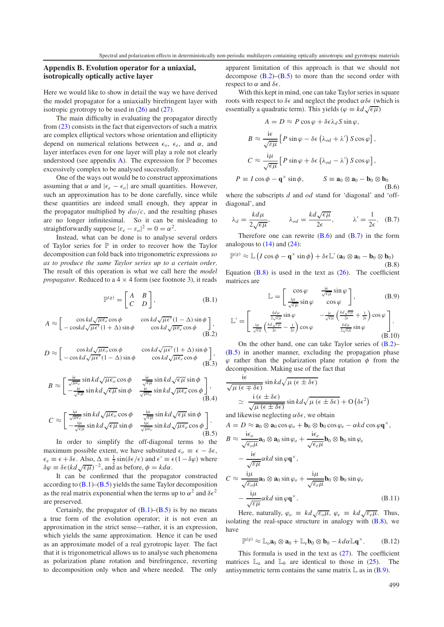#### <span id="page-10-0"></span>**Appendix B. Evolution operator for a uniaxial, isotropically optically active layer**

Here we would like to show in detail the way we have derived the model propagator for a uniaxially birefringent layer with isotropic gyrotropy to be used in [\(26\)](#page-6-1) and [\(27\)](#page-6-2).

The main difficulty in evaluating the propagator directly from [\(23\)](#page-5-7) consists in the fact that eigenvectors of such a matrix are complex elliptical vectors whose orientation and ellipticity depend on numerical relations between  $\epsilon_{\alpha}$ ,  $\epsilon_{e}$ , and  $\alpha$ , and layer interfaces even for one layer will play a role not clearly understood (see appendix [A\)](#page-9-0). The expression for  $\mathbb P$  becomes excessively complex to be analysed successfully.

One of the ways out would be to construct approximations assuming that  $\alpha$  and  $|\epsilon_e - \epsilon_o|$  are small quantities. However, such an approximation has to be done carefully, since while these quantities are indeed small enough, they appear in the propagator multiplied by  $d\omega/c$ , and the resulting phases are no longer infinitesimal. So it can be misleading to straightforwardly suppose  $|\varepsilon_e - \varepsilon_o|^2 = 0 = \alpha^2$ .

Instead, what can be done is to analyse several orders of Taylor series for  $P$  in order to recover how the Taylor decomposition can fold back into trigonometric expressions *so as to produce the same Taylor series up to a certain order*. The result of this operation is what we call here the *model propagator*. Reduced to a  $4 \times 4$  form (see footnote 3), it reads

<span id="page-10-3"></span>
$$
\mathbb{P}^{(g)} = \begin{bmatrix} A & B \\ C & D \end{bmatrix},\tag{B.1}
$$

$$
A \approx \begin{bmatrix} \cos kd \sqrt{\mu \epsilon_o} \cos \phi & \cos kd \sqrt{\mu \epsilon'} (1 - \Delta) \sin \phi \\ -\cos kd \sqrt{\mu \epsilon'} (1 + \Delta) \sin \phi & \cos kd \sqrt{\mu \epsilon_e} \cos \phi \end{bmatrix},
$$
(B.2)

$$
D \approx \begin{bmatrix} \cos kd \sqrt{\mu \epsilon_o} \cos \phi & \cos kd \sqrt{\mu \epsilon'} (1 + \Delta) \sin \phi \\ -\cos kd \sqrt{\mu \epsilon'} (1 - \Delta) \sin \phi & \cos kd \sqrt{\mu \epsilon_e} \cos \phi \end{bmatrix},
$$
(B.3)

$$
B \approx \begin{bmatrix} \frac{\mathrm{i}\epsilon}{\sqrt{\mu\epsilon_e}} \sin kd \sqrt{\mu\epsilon_o} \cos \phi & \frac{\mathrm{i}\epsilon}{\sqrt{\epsilon\mu}} \sin kd \sqrt{\epsilon\mu} \sin \phi \\ -\frac{\mathrm{i}\epsilon}{\sqrt{\epsilon\mu}} \sin kd \sqrt{\epsilon\mu} \sin \phi & \frac{\mathrm{i}\epsilon}{\sqrt{\mu\epsilon_o}} \sin kd \sqrt{\mu\epsilon_e} \cos \phi \end{bmatrix},
$$
(B.4)

$$
C \approx \begin{bmatrix} \frac{i\mu}{\sqrt{\mu\epsilon_o}} \sin kd \sqrt{\mu\epsilon_o} \cos \phi & \frac{i\mu}{\sqrt{\epsilon\mu}} \sin kd \sqrt{\epsilon\mu} \sin \phi \\ -\frac{i\mu}{\sqrt{\epsilon\mu}} \sin kd \sqrt{\epsilon\mu} \sin \phi & \frac{i\mu}{\sqrt{\mu\epsilon_e}} \sin kd \sqrt{\mu\epsilon_e} \cos \phi \end{bmatrix}.
$$
\n(B.5)

In order to simplify the off-diagonal terms to the maximum possible extent, we have substituted  $\epsilon_o \equiv \epsilon - \delta \epsilon$ ,  $\epsilon_e \equiv \epsilon + \delta \epsilon$ . Also,  $\Delta \equiv \frac{1}{2} \sin(\delta \epsilon/\epsilon)$  and  $\epsilon' \equiv \epsilon (1-\delta \varphi)$  where  $\delta \varphi \equiv \delta \epsilon (k d \sqrt{\epsilon \mu})^{-2}$ , and as before,  $\phi = k d \alpha$ .

It can be confirmed that the propagator constructed according to  $(B.1)$ – $(B.5)$  yields the same Taylor decomposition as the real matrix exponential when the terms up to  $\alpha^2$  and  $\delta \epsilon^2$ are preserved.

Certainly, the propagator of  $(B.1)$ – $(B.5)$  is by no means a true form of the evolution operator; it is not even an approximation in the strict sense—rather, it is an expression, which yields the same approximation. Hence it can be used as an approximate model of a real gyrotropic layer. The fact that it is trigonometrical allows us to analyse such phenomena as polarization plane rotation and birefringence, reverting to decomposition only when and where needed. The only

apparent limitation of this approach is that we should not decompose  $(B.2)$ – $(B.5)$  to more than the second order with respect to  $\alpha$  and  $\delta \epsilon$ .

With this kept in mind, one can take Taylor series in square roots with respect to  $\delta \epsilon$  and neglect the product  $\alpha \delta \epsilon$  (which is essentially a quadratic term). This yields ( $\varphi \equiv kd \sqrt{\epsilon \mu}$ )

<span id="page-10-7"></span><span id="page-10-6"></span>
$$
A = D \approx P \cos \varphi + \delta \epsilon \lambda_d S \sin \varphi,
$$
  
\n
$$
B \approx \frac{i\epsilon}{\sqrt{\epsilon \mu}} \left[ P \sin \varphi - \delta \epsilon \left( \lambda_{od} + \lambda' \right) S \cos \varphi \right],
$$
  
\n
$$
C \approx \frac{i\mu}{\sqrt{\epsilon \mu}} \left[ P \sin \varphi + \delta \epsilon \left( \lambda_{od} - \lambda' \right) S \cos \varphi \right],
$$
  
\n
$$
P \equiv I \cos \varphi - \mathbf{q}^{\times} \sin \varphi, \qquad S \equiv \mathbf{a}_0 \otimes \mathbf{a}_0 - \mathbf{b}_0 \otimes \mathbf{b}_0
$$
(B.6)

where the subscripts *d* and *od* stand for 'diagonal' and 'offdiagonal', and

<span id="page-10-8"></span>
$$
\lambda_d = \frac{k d \mu}{2 \sqrt{\epsilon \mu}},
$$
\n $\lambda_{od} = \frac{k d \sqrt{\epsilon \mu}}{2 \epsilon},$ \n $\lambda' = \frac{1}{2 \epsilon}.$ \n(B.7)

Therefore one can rewrite  $(B.6)$  and  $(B.7)$  in the form analogous to  $(14)$  and  $(24)$ :

$$
\mathbb{P}^{(g)} \approx \mathbb{L} \left( I \cos \phi - \mathbf{q}^{\times} \sin \phi \right) + \delta \epsilon \mathbb{L}' \left( \mathbf{a}_0 \otimes \mathbf{a}_0 - \mathbf{b}_0 \otimes \mathbf{b}_0 \right)
$$
\n(B.8)

<span id="page-10-5"></span>Equation  $(B.8)$  is used in the text as  $(26)$ . The coefficient matrices are

<span id="page-10-2"></span><span id="page-10-1"></span>
$$
\mathbb{L} = \begin{bmatrix} \cos \varphi & \frac{\mathrm{i}\epsilon}{\sqrt{\epsilon\mu}} \sin \varphi \\ \frac{\mathrm{i}\mu}{\sqrt{\epsilon\mu}} \sin \varphi & \cos \varphi \end{bmatrix}, \tag{B.9}
$$

$$
\mathbb{L}' = \begin{bmatrix} \frac{k d\mu}{2\sqrt{\epsilon\mu}} \sin \varphi & -\frac{i\epsilon}{\sqrt{\epsilon\mu}} \left( \frac{k d\sqrt{\epsilon\mu}}{2\epsilon} + \frac{1}{2\epsilon} \right) \cos \varphi \\ \frac{i\mu}{\sqrt{\epsilon\mu}} \left( \frac{k d\sqrt{\epsilon\mu}}{2\epsilon} - \frac{1}{2\epsilon} \right) \cos \varphi & \frac{k d\mu}{2\sqrt{\epsilon\mu}} \sin \varphi \end{bmatrix} . \tag{B.10}
$$

On the other hand, one can take Taylor series of  $(B.2)$ – [\(B.5\)](#page-10-4) in another manner, excluding the propagation phase  $\varphi$  rather than the polarization plane rotation  $\varphi$  from the decomposition. Making use of the fact that

<span id="page-10-4"></span>
$$
\frac{\mathrm{i}\epsilon}{\sqrt{\mu\left(\epsilon\mp\delta\epsilon\right)}}\sin kd\sqrt{\mu\left(\epsilon\pm\delta\epsilon\right)}
$$
\n
$$
\approx \frac{\mathrm{i}\left(\epsilon\pm\delta\epsilon\right)}{\sqrt{\mu\left(\epsilon\pm\delta\epsilon\right)}}\sin kd\sqrt{\mu\left(\epsilon\pm\delta\epsilon\right)} + \mathrm{O}\left(\delta\epsilon^2\right)
$$

and likewise neglecting  $\alpha\delta\epsilon$ , we obtain

$$
A = D \approx \mathbf{a}_0 \otimes \mathbf{a}_0 \cos \varphi_o + \mathbf{b}_0 \otimes \mathbf{b}_0 \cos \varphi_e - \alpha k d \cos \varphi \mathbf{q}^\times,
$$
  

$$
B \approx \frac{\mathrm{i} \epsilon_o}{\sqrt{\epsilon_o \mu}} \mathbf{a}_0 \otimes \mathbf{a}_0 \sin \varphi_o + \frac{\mathrm{i} \epsilon_e}{\sqrt{\epsilon_e \mu}} \mathbf{b}_0 \otimes \mathbf{b}_0 \sin \varphi_e
$$

$$
\sqrt{\epsilon_{\theta}\mu}^{\omega} \circ \omega_{0} \sin \varphi_{0}^{\omega} + \sqrt{\epsilon_{e}\mu}^{\omega} \circ \omega_{0} \sin \varphi_{e}
$$
  
\n
$$
- \frac{i\epsilon}{\sqrt{\epsilon_{\theta}\mu}} \alpha_{k} d \sin \varphi q^{\omega},
$$
  
\n
$$
C \approx \frac{i\mu}{\sqrt{\epsilon_{\theta}\mu}} a_{0} \otimes a_{0} \sin \varphi_{o} + \frac{i\mu}{\sqrt{\epsilon_{e}\mu}} b_{0} \otimes b_{0} \sin \varphi_{e}
$$
  
\n
$$
- \frac{i\mu}{\sqrt{\epsilon_{\mu}}} \alpha_{k} d \sin \varphi q^{\omega}. \tag{B.11}
$$

Here, naturally,  $\varphi_o \equiv kd \sqrt{\varepsilon_o \mu}$ ,  $\varphi_e \equiv kd \sqrt{\varepsilon_e \mu}$ . Thus, isolating the real-space structure in analogy with  $(B.8)$ , we have

$$
\mathbb{P}^{(g)} \approx \mathbb{L}_o \mathbf{a}_0 \otimes \mathbf{a}_0 + \mathbb{L}_e \mathbf{b}_0 \otimes \mathbf{b}_0 - k d \alpha \mathbb{L} \mathbf{q}^{\times}.
$$
 (B.12)

This formula is used in the text as  $(27)$ . The coefficient matrices  $\mathbb{L}_a$  and  $\mathbb{L}_b$  are identical to those in [\(25\)](#page-6-0). The antisymmetric term contains the same matrix  $\mathbb L$  as in [\(B.9\)](#page-10-1).